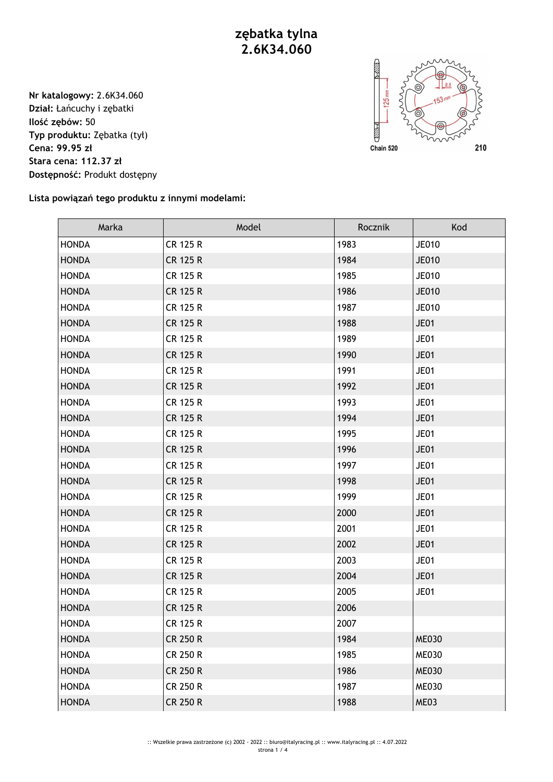## **zębatka tylna 2.6K34.060**

**Nr katalogowy:** 2.6K34.060 **Dział:** Łańcuchy i zębatki **Ilość zębów:** 50 **Typ produktu:** Zębatka (tył) **Cena: 99.95 zł Stara cena: 112.37 zł Dostępność:** Produkt dostępny



**Lista powiązań tego produktu z innymi modelami:**

| Marka        | Model           | Rocznik | Kod          |
|--------------|-----------------|---------|--------------|
| <b>HONDA</b> | <b>CR 125 R</b> | 1983    | <b>JE010</b> |
| <b>HONDA</b> | <b>CR 125 R</b> | 1984    | <b>JE010</b> |
| <b>HONDA</b> | <b>CR 125 R</b> | 1985    | <b>JE010</b> |
| <b>HONDA</b> | <b>CR 125 R</b> | 1986    | <b>JE010</b> |
| <b>HONDA</b> | <b>CR 125 R</b> | 1987    | <b>JE010</b> |
| <b>HONDA</b> | <b>CR 125 R</b> | 1988    | <b>JE01</b>  |
| <b>HONDA</b> | <b>CR 125 R</b> | 1989    | <b>JE01</b>  |
| <b>HONDA</b> | <b>CR 125 R</b> | 1990    | <b>JE01</b>  |
| <b>HONDA</b> | <b>CR 125 R</b> | 1991    | <b>JE01</b>  |
| <b>HONDA</b> | <b>CR 125 R</b> | 1992    | <b>JE01</b>  |
| <b>HONDA</b> | <b>CR 125 R</b> | 1993    | <b>JE01</b>  |
| <b>HONDA</b> | <b>CR 125 R</b> | 1994    | <b>JE01</b>  |
| <b>HONDA</b> | <b>CR 125 R</b> | 1995    | <b>JE01</b>  |
| <b>HONDA</b> | <b>CR 125 R</b> | 1996    | <b>JE01</b>  |
| <b>HONDA</b> | <b>CR 125 R</b> | 1997    | <b>JE01</b>  |
| <b>HONDA</b> | <b>CR 125 R</b> | 1998    | <b>JE01</b>  |
| <b>HONDA</b> | <b>CR 125 R</b> | 1999    | <b>JE01</b>  |
| <b>HONDA</b> | <b>CR 125 R</b> | 2000    | <b>JE01</b>  |
| <b>HONDA</b> | <b>CR 125 R</b> | 2001    | <b>JE01</b>  |
| <b>HONDA</b> | <b>CR 125 R</b> | 2002    | <b>JE01</b>  |
| <b>HONDA</b> | <b>CR 125 R</b> | 2003    | <b>JE01</b>  |
| <b>HONDA</b> | <b>CR 125 R</b> | 2004    | <b>JE01</b>  |
| <b>HONDA</b> | <b>CR 125 R</b> | 2005    | <b>JE01</b>  |
| <b>HONDA</b> | <b>CR 125 R</b> | 2006    |              |
| <b>HONDA</b> | <b>CR 125 R</b> | 2007    |              |
| <b>HONDA</b> | <b>CR 250 R</b> | 1984    | <b>ME030</b> |
| <b>HONDA</b> | <b>CR 250 R</b> | 1985    | <b>ME030</b> |
| <b>HONDA</b> | <b>CR 250 R</b> | 1986    | <b>ME030</b> |
| <b>HONDA</b> | <b>CR 250 R</b> | 1987    | <b>ME030</b> |
| <b>HONDA</b> | <b>CR 250 R</b> | 1988    | ME03         |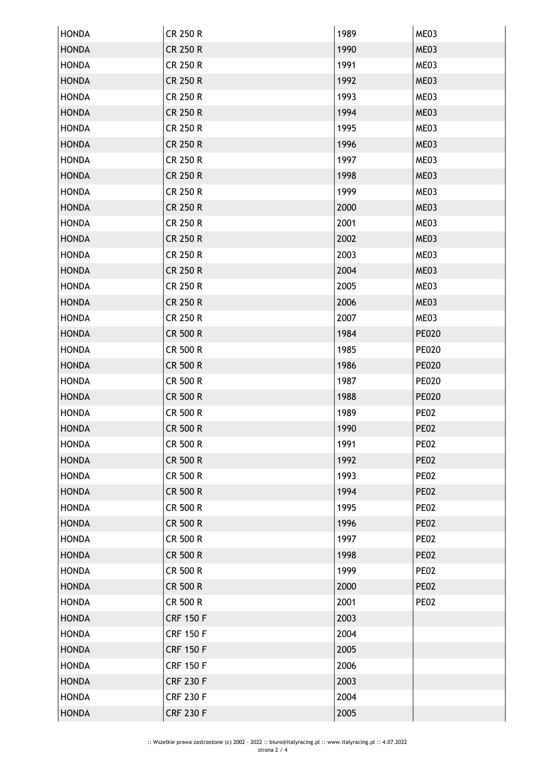| <b>HONDA</b> | <b>CR 250 R</b>  | 1989 | ME03         |
|--------------|------------------|------|--------------|
| <b>HONDA</b> | <b>CR 250 R</b>  | 1990 | ME03         |
| <b>HONDA</b> | CR 250 R         | 1991 | ME03         |
| <b>HONDA</b> | <b>CR 250 R</b>  | 1992 | ME03         |
| <b>HONDA</b> | CR 250 R         | 1993 | ME03         |
| <b>HONDA</b> | <b>CR 250 R</b>  | 1994 | ME03         |
| <b>HONDA</b> | <b>CR 250 R</b>  | 1995 | ME03         |
| <b>HONDA</b> | <b>CR 250 R</b>  | 1996 | ME03         |
| <b>HONDA</b> | <b>CR 250 R</b>  | 1997 | ME03         |
| <b>HONDA</b> | <b>CR 250 R</b>  | 1998 | ME03         |
| <b>HONDA</b> | CR 250 R         | 1999 | ME03         |
| <b>HONDA</b> | <b>CR 250 R</b>  | 2000 | ME03         |
| <b>HONDA</b> | CR 250 R         | 2001 | ME03         |
| <b>HONDA</b> | <b>CR 250 R</b>  | 2002 | ME03         |
| <b>HONDA</b> | CR 250 R         | 2003 | ME03         |
| <b>HONDA</b> | <b>CR 250 R</b>  | 2004 | ME03         |
| <b>HONDA</b> | CR 250 R         | 2005 | ME03         |
| <b>HONDA</b> | <b>CR 250 R</b>  | 2006 | ME03         |
| <b>HONDA</b> | <b>CR 250 R</b>  | 2007 | ME03         |
| <b>HONDA</b> | CR 500 R         | 1984 | <b>PE020</b> |
| <b>HONDA</b> | CR 500 R         | 1985 | <b>PE020</b> |
| <b>HONDA</b> | CR 500 R         | 1986 | <b>PE020</b> |
| <b>HONDA</b> | CR 500 R         | 1987 | <b>PE020</b> |
| <b>HONDA</b> | CR 500 R         | 1988 | <b>PE020</b> |
| <b>HONDA</b> | <b>CR 500 R</b>  | 1989 | <b>PE02</b>  |
| <b>HONDA</b> | CR 500 R         | 1990 | <b>PE02</b>  |
| <b>HONDA</b> | CR 500 R         | 1991 | <b>PE02</b>  |
| <b>HONDA</b> | <b>CR 500 R</b>  | 1992 | <b>PE02</b>  |
| <b>HONDA</b> | CR 500 R         | 1993 | <b>PE02</b>  |
| <b>HONDA</b> | <b>CR 500 R</b>  | 1994 | <b>PE02</b>  |
| <b>HONDA</b> | CR 500 R         | 1995 | <b>PE02</b>  |
| <b>HONDA</b> | <b>CR 500 R</b>  | 1996 | <b>PE02</b>  |
| <b>HONDA</b> | CR 500 R         | 1997 | <b>PE02</b>  |
| <b>HONDA</b> | <b>CR 500 R</b>  | 1998 | <b>PE02</b>  |
| <b>HONDA</b> | CR 500 R         | 1999 | <b>PE02</b>  |
| <b>HONDA</b> | <b>CR 500 R</b>  | 2000 | <b>PE02</b>  |
| <b>HONDA</b> | CR 500 R         | 2001 | <b>PE02</b>  |
| <b>HONDA</b> | <b>CRF 150 F</b> | 2003 |              |
| <b>HONDA</b> | <b>CRF 150 F</b> | 2004 |              |
| <b>HONDA</b> | <b>CRF 150 F</b> | 2005 |              |
| <b>HONDA</b> | <b>CRF 150 F</b> | 2006 |              |
| <b>HONDA</b> | <b>CRF 230 F</b> | 2003 |              |
| <b>HONDA</b> | <b>CRF 230 F</b> | 2004 |              |
| <b>HONDA</b> | <b>CRF 230 F</b> | 2005 |              |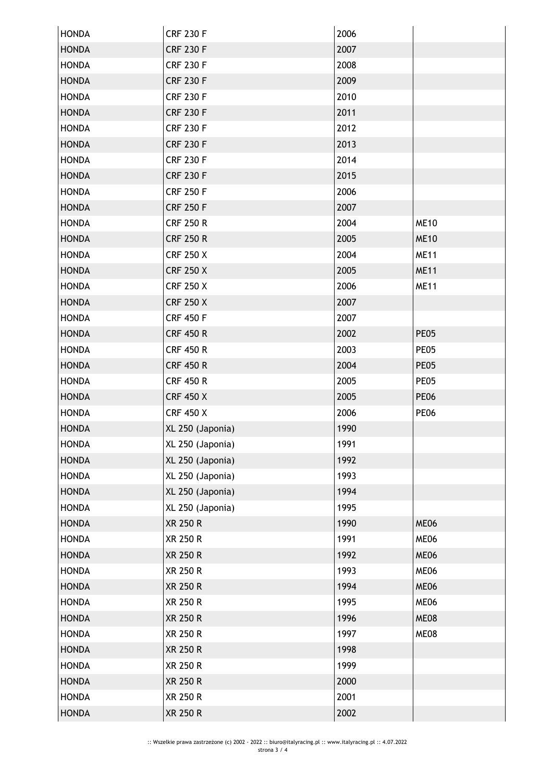| <b>HONDA</b> | <b>CRF 230 F</b> | 2006 |             |
|--------------|------------------|------|-------------|
| <b>HONDA</b> | <b>CRF 230 F</b> | 2007 |             |
| <b>HONDA</b> | <b>CRF 230 F</b> | 2008 |             |
| <b>HONDA</b> | <b>CRF 230 F</b> | 2009 |             |
| <b>HONDA</b> | <b>CRF 230 F</b> | 2010 |             |
| <b>HONDA</b> | <b>CRF 230 F</b> | 2011 |             |
| <b>HONDA</b> | <b>CRF 230 F</b> | 2012 |             |
| <b>HONDA</b> | <b>CRF 230 F</b> | 2013 |             |
| <b>HONDA</b> | <b>CRF 230 F</b> | 2014 |             |
| <b>HONDA</b> | <b>CRF 230 F</b> | 2015 |             |
| <b>HONDA</b> | <b>CRF 250 F</b> | 2006 |             |
| <b>HONDA</b> | <b>CRF 250 F</b> | 2007 |             |
| <b>HONDA</b> | <b>CRF 250 R</b> | 2004 | <b>ME10</b> |
| <b>HONDA</b> | <b>CRF 250 R</b> | 2005 | <b>ME10</b> |
| <b>HONDA</b> | <b>CRF 250 X</b> | 2004 | <b>ME11</b> |
| <b>HONDA</b> | <b>CRF 250 X</b> | 2005 | <b>ME11</b> |
| <b>HONDA</b> | <b>CRF 250 X</b> | 2006 | <b>ME11</b> |
| <b>HONDA</b> | <b>CRF 250 X</b> | 2007 |             |
| <b>HONDA</b> | <b>CRF 450 F</b> | 2007 |             |
| <b>HONDA</b> | <b>CRF 450 R</b> | 2002 | <b>PE05</b> |
| <b>HONDA</b> | <b>CRF 450 R</b> | 2003 | <b>PE05</b> |
| <b>HONDA</b> | <b>CRF 450 R</b> | 2004 | <b>PE05</b> |
| <b>HONDA</b> | <b>CRF 450 R</b> | 2005 | <b>PE05</b> |
| <b>HONDA</b> | <b>CRF 450 X</b> | 2005 | <b>PE06</b> |
| <b>HONDA</b> | <b>CRF 450 X</b> | 2006 | <b>PE06</b> |
| <b>HONDA</b> | XL 250 (Japonia) | 1990 |             |
| <b>HONDA</b> | XL 250 (Japonia) | 1991 |             |
| <b>HONDA</b> | XL 250 (Japonia) | 1992 |             |
| <b>HONDA</b> | XL 250 (Japonia) | 1993 |             |
| <b>HONDA</b> | XL 250 (Japonia) | 1994 |             |
| <b>HONDA</b> | XL 250 (Japonia) | 1995 |             |
| <b>HONDA</b> | <b>XR 250 R</b>  | 1990 | <b>ME06</b> |
| <b>HONDA</b> | XR 250 R         | 1991 | ME06        |
| <b>HONDA</b> | XR 250 R         | 1992 | ME06        |
| <b>HONDA</b> | XR 250 R         | 1993 | <b>ME06</b> |
| <b>HONDA</b> | <b>XR 250 R</b>  | 1994 | ME06        |
| <b>HONDA</b> | XR 250 R         | 1995 | <b>ME06</b> |
| <b>HONDA</b> | XR 250 R         | 1996 | <b>ME08</b> |
| <b>HONDA</b> | XR 250 R         | 1997 | ME08        |
| <b>HONDA</b> | XR 250 R         | 1998 |             |
| <b>HONDA</b> | XR 250 R         | 1999 |             |
| <b>HONDA</b> | XR 250 R         | 2000 |             |
| <b>HONDA</b> | XR 250 R         | 2001 |             |
| <b>HONDA</b> | XR 250 R         | 2002 |             |